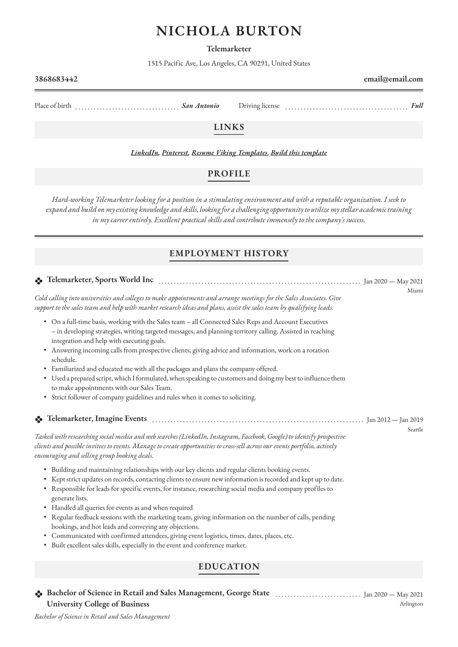# **NICHOLA BURTON**

**Telemarketer**

1515 Pacific Ave, Los Angeles, CA 90291, United States

Place of birth *Antonio* Driving license *Full* Driving license **Full** Driving license **Full** Driving license **Full** Driving license *Full* Driving license *Full* Driving license *Full* Driving license *Full* Driving licen

# **LINKS**

*[LinkedIn,](https://www.linkedin.com/) [Pinterest,](https://www.pinterest.es/resumeviking/) [Resume Viking Templates,](https://www.resumeviking.com/templates/word/) [Build this template](https://resume.io/?id=cpdokyF1)*

## **PROFILE**

*Hard-working Telemarketer looking for a position in a stimulating environment and with a reputable organization. I seek to expand and build on my existing knowledge and skills, looking for a challenging opportunity to utilize my stellar academic training in my career entirely. Excellent practical skills and contribute immensely to the company's success.*

# **EMPLOYMENT HISTORY**

**Telemarketer, Sports World Inc** Jan 2020 — May 2021 Miami *Cold calling into universities and colleges to make appointments and arrange meetings for the Sales Associates. Give support to the sales team and help with market research ideas and plans, assist the sales team by qualifying leads.* • On a full-time basis, working with the Sales team – all Connected Sales Reps and Account Executives – in developing strategies, writing targeted messages, and planning territory calling. Assisted in reaching integration and help with executing goals. • Answering incoming calls from prospective clients, giving advice and information, work on a rotation schedule. • Familiarized and educated me with all the packages and plans the company offered. • Used a prepared script, which I formulated, when speaking to customers and doing my best to influence them to make appointments with our Sales Team. • Strict follower of company guidelines and rules when it comes to soliciting. **Telemarketer, Imagine Events** Jan 2012 — Jan 2019 Seattle *Tasked with researching social media and web searches (LinkedIn, Instagram, Facebook, Google) to identify prospective clients and possible invitees to events. Manage to create opportunities to cross-sell across our events portfolio, actively encouraging and selling group booking deals.* • Building and maintaining relationships with our key clients and regular clients booking events. • Kept strict updates on records, contacting clients to ensure new information is recorded and kept up to date. • Responsible for leads for specific events, for instance, researching social media and company profiles to generate lists. • Handled all queries for events as and when required • Regular feedback sessions with the marketing team, giving information on the number of calls, pending bookings, and hot leads and conveying any objections. • Communicated with confirmed attendees, giving event logistics, times, dates, places, etc. • Built excellent sales skills, especially in the event and conference market.

# **EDUCATION**

**Bachelor of Science in Retail and Sales Management, George State**  Jan 2020 — May 2021 **University College of Business** Arlington

# **3868683442 email@email.com**